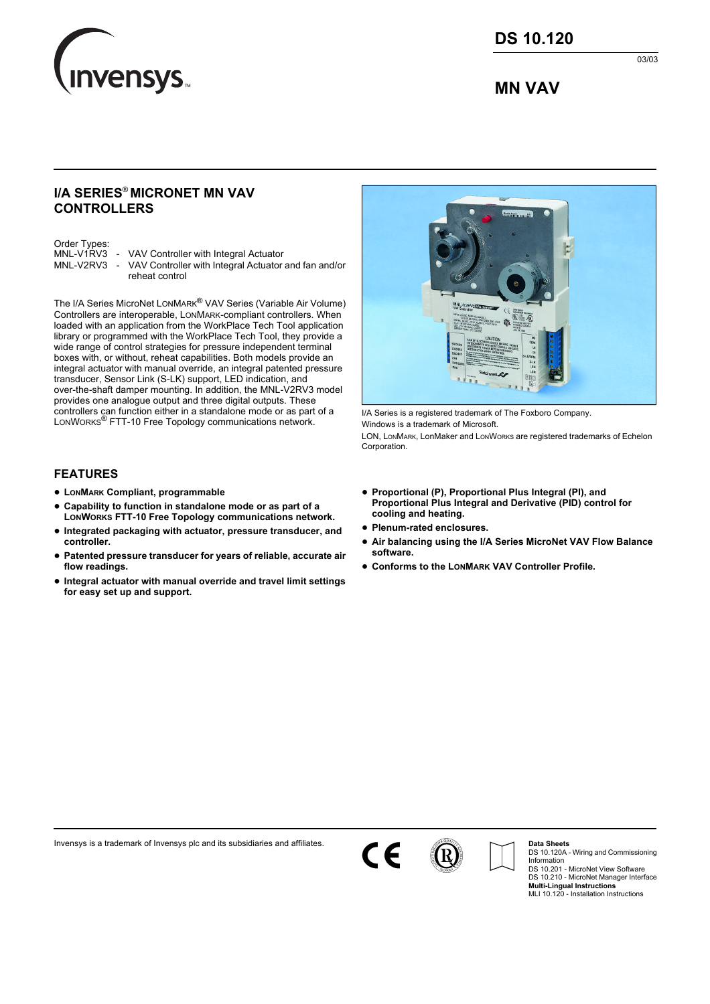

03/03

# **MN VAV**

## **I/A SERIES**® **MICRONET MN VAV CONTROLLERS**

Order Types:<br>MNL-V1RV3

- VAV Controller with Integral Actuator
- MNL-V2RV3 VAV Controller with Integral Actuator and fan and/or reheat control

The I/A Series MicroNet LONMARK® VAV Series (Variable Air Volume) Controllers are interoperable, LONMARK-compliant controllers. When loaded with an application from the WorkPlace Tech Tool application library or programmed with the WorkPlace Tech Tool, they provide a wide range of control strategies for pressure independent terminal boxes with, or without, reheat capabilities. Both models provide an integral actuator with manual override, an integral patented pressure transducer, Sensor Link (S-LK) support, LED indication, and over-the-shaft damper mounting. In addition, the MNL-V2RV3 model provides one analogue output and three digital outputs. These controllers can function either in a standalone mode or as part of a<br>LonWorks® FTT-10 Free Topology communications network.

#### **FEATURES**

- **• LONMARK Compliant, programmable**
- **• Capability to function in standalone mode or as part of a LONWORKS FTT-10 Free Topology communications network.**
- **• Integrated packaging with actuator, pressure transducer, and controller.**
- **• Patented pressure transducer for years of reliable, accurate air flow readings.**
- **• Integral actuator with manual override and travel limit settings for easy set up and support.**



I/A Series is a registered trademark of The Foxboro Company. Windows is a trademark of Microsoft.

LON, LONMARK, LonMaker and LONWORKS are registered trademarks of Echelon **Corporation** 

- **• Proportional (P), Proportional Plus Integral (PI), and Proportional Plus Integral and Derivative (PID) control for cooling and heating.**
- **• Plenum-rated enclosures.**
- **• Air balancing using the I/A Series MicroNet VAV Flow Balance software.**
- **• Conforms to the LONMARK VAV Controller Profile.**

Invensys is a trademark of Invensys plc and its subsidiaries and affiliates.



**Data Sheets**

DS 10.120A - Wiring and Commissioning Information DS 10.201 - MicroNet View Software DS 10.210 - MicroNet Manager Interface **Multi-Lingual Instructions** MLI 10.120 - Installation Instructions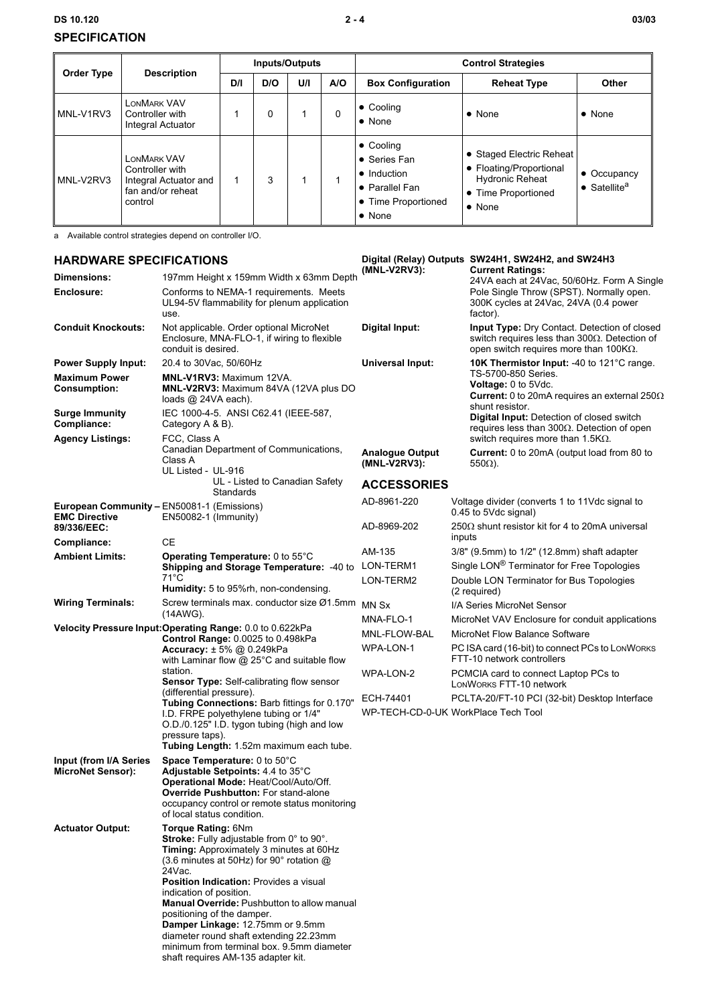### **DS 10.120 2 - 4 03/03 SPECIFICATION**

| <b>Order Type</b> | <b>Description</b>                                                                             | Inputs/Outputs |     |     |     | <b>Control Strategies</b>                                                                              |                                                                                                                        |                                                         |
|-------------------|------------------------------------------------------------------------------------------------|----------------|-----|-----|-----|--------------------------------------------------------------------------------------------------------|------------------------------------------------------------------------------------------------------------------------|---------------------------------------------------------|
|                   |                                                                                                | D/I            | D/O | U/I | A/O | <b>Box Configuration</b>                                                                               | <b>Reheat Type</b>                                                                                                     | Other                                                   |
| MNL-V1RV3         | LONMARK VAV<br>Controller with<br><b>Integral Actuator</b>                                     |                | 0   |     | 0   | $\bullet$ Cooling<br>$\bullet$ None                                                                    | $\bullet$ None                                                                                                         | $\bullet$ None                                          |
| MNL-V2RV3         | <b>LONMARK VAV</b><br>Controller with<br>Integral Actuator and<br>fan and/or reheat<br>control |                | 3   |     |     | • Cooling<br>• Series Fan<br>• Induction<br>Parallel Fan<br><b>Time Proportioned</b><br>$\bullet$ None | • Staged Electric Reheat<br>• Floating/Proportional<br><b>Hydronic Reheat</b><br>• Time Proportioned<br>$\bullet$ None | $\bullet$ Occupancy<br>$\bullet$ Satellite <sup>a</sup> |

a Available control strategies depend on controller I/O.

# **HARDWARE SPECIFICATIONS**

| <b>HARDWARE SPECIFICATIONS</b>                                            |                                                                                                                                                                                                                                                                                                                                                                     | (MNL-V2RV3):                           | Digital (Relay) Outputs SW24H1, SW24H2, and SW24H3                                                                                                                        |  |
|---------------------------------------------------------------------------|---------------------------------------------------------------------------------------------------------------------------------------------------------------------------------------------------------------------------------------------------------------------------------------------------------------------------------------------------------------------|----------------------------------------|---------------------------------------------------------------------------------------------------------------------------------------------------------------------------|--|
| Dimensions:<br>Enclosure:                                                 | 197mm Height x 159mm Width x 63mm Depth<br>Conforms to NEMA-1 requirements. Meets<br>UL94-5V flammability for plenum application                                                                                                                                                                                                                                    |                                        | <b>Current Ratings:</b><br>24VA each at 24Vac, 50/60Hz. Form A Single<br>Pole Single Throw (SPST). Normally open.<br>300K cycles at 24Vac, 24VA (0.4 power                |  |
| <b>Conduit Knockouts:</b>                                                 | use.<br>Not applicable. Order optional MicroNet<br>Enclosure, MNA-FLO-1, if wiring to flexible<br>conduit is desired.                                                                                                                                                                                                                                               | Digital Input:                         | factor).<br><b>Input Type:</b> Dry Contact. Detection of closed<br>switch requires less than 300 $\Omega$ . Detection of<br>open switch requires more than $100K\Omega$ . |  |
| <b>Power Supply Input:</b>                                                | 20.4 to 30Vac, 50/60Hz                                                                                                                                                                                                                                                                                                                                              | <b>Universal Input:</b>                | <b>10K Thermistor Input: -40 to 121 °C range.</b>                                                                                                                         |  |
| <b>Maximum Power</b><br><b>Consumption:</b>                               | <b>MNL-V1RV3: Maximum 12VA.</b><br>MNL-V2RV3: Maximum 84VA (12VA plus DO<br>loads $@$ 24VA each).                                                                                                                                                                                                                                                                   |                                        | TS-5700-850 Series.<br>Voltage: 0 to 5Vdc.<br><b>Current:</b> 0 to 20mA requires an external 250 $\Omega$<br>shunt resistor.                                              |  |
| <b>Surge Immunity</b><br>Compliance:                                      | IEC 1000-4-5. ANSI C62.41 (IEEE-587,<br>Category A & B).                                                                                                                                                                                                                                                                                                            |                                        | <b>Digital Input:</b> Detection of closed switch<br>requires less than $300\Omega$ . Detection of open                                                                    |  |
| <b>Agency Listings:</b>                                                   | FCC, Class A<br>Canadian Department of Communications,<br>Class A<br>UL Listed - UL-916                                                                                                                                                                                                                                                                             | <b>Analogue Output</b><br>(MNL-V2RV3): | switch requires more than 1.5KΩ.<br><b>Current:</b> 0 to 20mA (output load from 80 to<br>$550\Omega$ ).                                                                   |  |
|                                                                           | UL - Listed to Canadian Safety<br>Standards                                                                                                                                                                                                                                                                                                                         | <b>ACCESSORIES</b>                     |                                                                                                                                                                           |  |
| <b>European Community - EN50081-1 (Emissions)</b><br><b>EMC Directive</b> | EN50082-1 (Immunity)                                                                                                                                                                                                                                                                                                                                                | AD-8961-220                            | Voltage divider (converts 1 to 11Vdc signal to<br>0.45 to 5Vdc signal)                                                                                                    |  |
| 89/336/EEC:<br>Compliance:                                                | СE                                                                                                                                                                                                                                                                                                                                                                  | AD-8969-202                            | $250\Omega$ shunt resistor kit for 4 to 20mA universal<br>inputs                                                                                                          |  |
| <b>Ambient Limits:</b>                                                    | Operating Temperature: 0 to 55°C                                                                                                                                                                                                                                                                                                                                    | AM-135                                 | 3/8" (9.5mm) to 1/2" (12.8mm) shaft adapter                                                                                                                               |  |
|                                                                           | Shipping and Storage Temperature: -40 to                                                                                                                                                                                                                                                                                                                            | LON-TERM1                              | Single LON® Terminator for Free Topologies                                                                                                                                |  |
|                                                                           | 71°C<br><b>Humidity:</b> 5 to 95%rh, non-condensing.                                                                                                                                                                                                                                                                                                                | LON-TERM2                              | Double LON Terminator for Bus Topologies<br>(2 required)                                                                                                                  |  |
| <b>Wiring Terminals:</b>                                                  | Screw terminals max. conductor size Ø1.5mm<br>(14AWG).                                                                                                                                                                                                                                                                                                              | MN Sx                                  | I/A Series MicroNet Sensor                                                                                                                                                |  |
|                                                                           | Velocity Pressure Input: Operating Range: 0.0 to 0.622kPa                                                                                                                                                                                                                                                                                                           | MNA-FLO-1                              | MicroNet VAV Enclosure for conduit applications                                                                                                                           |  |
|                                                                           | Control Range: 0.0025 to 0.498kPa                                                                                                                                                                                                                                                                                                                                   | MNL-FLOW-BAL                           | MicroNet Flow Balance Software                                                                                                                                            |  |
|                                                                           | Accuracy: ± 5% @ 0.249kPa<br>with Laminar flow $@$ 25°C and suitable flow                                                                                                                                                                                                                                                                                           | WPA-LON-1                              | PC ISA card (16-bit) to connect PCs to LONWORKS<br>FTT-10 network controllers                                                                                             |  |
|                                                                           | station.<br>Sensor Type: Self-calibrating flow sensor                                                                                                                                                                                                                                                                                                               | WPA-LON-2                              | PCMCIA card to connect Laptop PCs to<br>LONWORKS FTT-10 network                                                                                                           |  |
|                                                                           | (differential pressure).<br>Tubing Connections: Barb fittings for 0.170"                                                                                                                                                                                                                                                                                            | ECH-74401                              | PCLTA-20/FT-10 PCI (32-bit) Desktop Interface                                                                                                                             |  |
|                                                                           | I.D. FRPE polyethylene tubing or 1/4"<br>O.D./0.125" I.D. tygon tubing (high and low                                                                                                                                                                                                                                                                                |                                        | WP-TECH-CD-0-UK WorkPlace Tech Tool                                                                                                                                       |  |
|                                                                           | pressure taps).<br>Tubing Length: 1.52m maximum each tube.                                                                                                                                                                                                                                                                                                          |                                        |                                                                                                                                                                           |  |
| Input (from I/A Series<br><b>MicroNet Sensor):</b>                        | Space Temperature: 0 to 50°C<br>Adjustable Setpoints: 4.4 to 35°C<br>Operational Mode: Heat/Cool/Auto/Off.<br>Override Pushbutton: For stand-alone<br>occupancy control or remote status monitoring<br>of local status condition.                                                                                                                                   |                                        |                                                                                                                                                                           |  |
| <b>Actuator Output:</b>                                                   | <b>Torque Rating: 6Nm</b><br>Stroke: Fully adjustable from 0° to 90°.<br>Timing: Approximately 3 minutes at 60Hz<br>(3.6 minutes at 50Hz) for 90° rotation @<br>24Vac.<br><b>Position Indication: Provides a visual</b><br>indication of position.<br>Manual Override: Pushbutton to allow manual<br>positioning of the damper.<br>Damper Linkage: 12.75mm or 9.5mm |                                        |                                                                                                                                                                           |  |
|                                                                           | diameter round shaft extending 22.23mm                                                                                                                                                                                                                                                                                                                              |                                        |                                                                                                                                                                           |  |

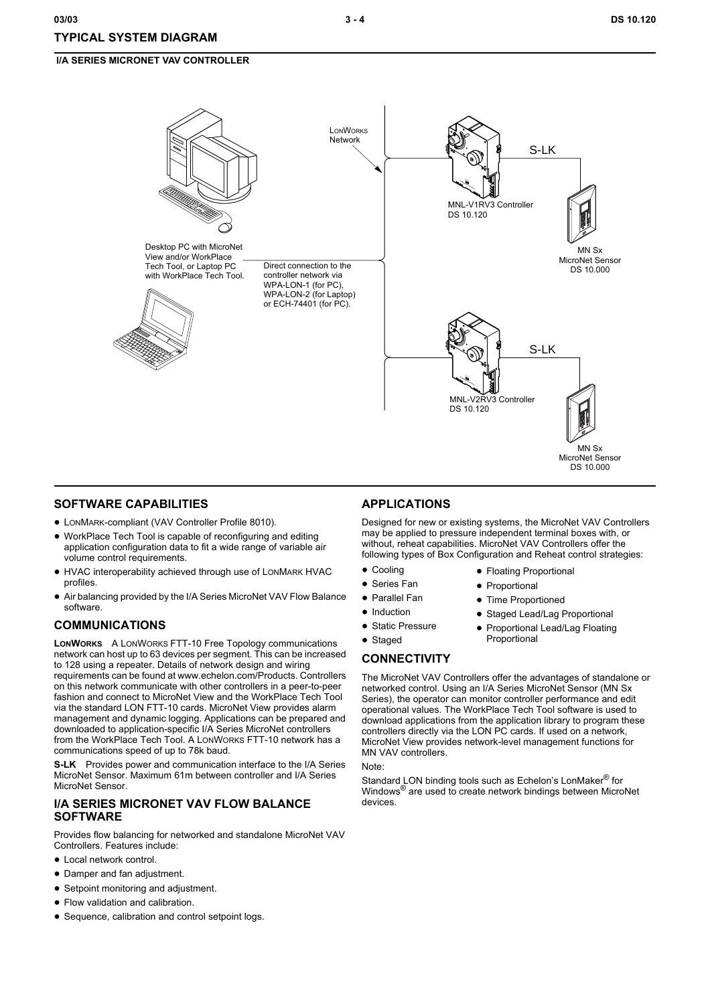

#### **SOFTWARE CAPABILITIES**

- **•** LONMARK-compliant (VAV Controller Profile 8010).
- **•** WorkPlace Tech Tool is capable of reconfiguring and editing application configuration data to fit a wide range of variable air volume control requirements.
- **•** HVAC interoperability achieved through use of LONMARK HVAC profiles.
- **•** Air balancing provided by the I/A Series MicroNet VAV Flow Balance software.

#### **COMMUNICATIONS**

**LONWORKS** A LONWORKS FTT-10 Free Topology communications network can host up to 63 devices per segment. This can be increased to 128 using a repeater. Details of network design and wiring requirements can be found at www.echelon.com/Products. Controllers on this network communicate with other controllers in a peer-to-peer fashion and connect to MicroNet View and the WorkPlace Tech Tool via the standard LON FTT-10 cards. MicroNet View provides alarm management and dynamic logging. Applications can be prepared and downloaded to application-specific I/A Series MicroNet controllers from the WorkPlace Tech Tool. A LONWORKS FTT-10 network has a communications speed of up to 78k baud.

**S-LK** Provides power and communication interface to the I/A Series MicroNet Sensor. Maximum 61m between controller and I/A Series MicroNet Sensor.

#### **I/A SERIES MICRONET VAV FLOW BALANCE SOFTWARE**

Provides flow balancing for networked and standalone MicroNet VAV Controllers. Features include:

- **•** Local network control.
- **•** Damper and fan adjustment.
- **•** Setpoint monitoring and adjustment.
- **•** Flow validation and calibration.
- **•** Sequence, calibration and control setpoint logs.

#### **APPLICATIONS**

Designed for new or existing systems, the MicroNet VAV Controllers may be applied to pressure independent terminal boxes with, or without, reheat capabilities. MicroNet VAV Controllers offer the following types of Box Configuration and Reheat control strategies:

- **•** Cooling
- **•** Series Fan
- **•** Parallel Fan
- **•** Induction
- **•** Static Pressure
- **•** Staged
- 

The MicroNet VAV Controllers offer the advantages of standalone or networked control. Using an I/A Series MicroNet Sensor (MN Sx Series), the operator can monitor controller performance and edit operational values. The WorkPlace Tech Tool software is used to download applications from the application library to program these controllers directly via the LON PC cards. If used on a network, MicroNet View provides network-level management functions for MN VAV controllers.

#### Note:

Standard LON binding tools such as Echelon's LonMaker<sup>®</sup> for Windows<sup>®</sup> are used to create network bindings between MicroNet devices.

- - **•** Floating Proportional **•** Proportional
		- **•** Time Proportioned
		- **•** Staged Lead/Lag Proportional
		- **•** Proportional Lead/Lag Floating Proportional
- **CONNECTIVITY**